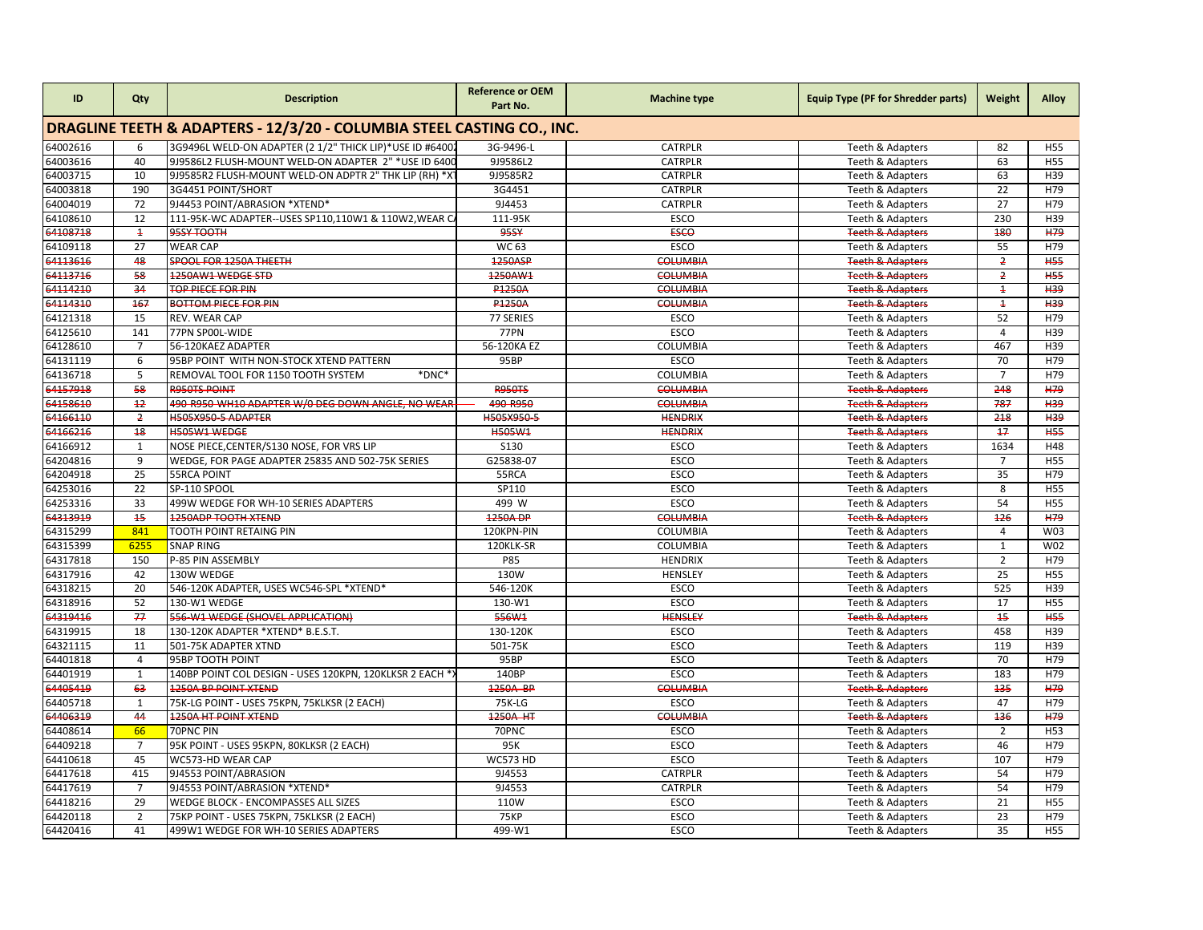| ID                                                                     | Qty             | <b>Description</b>                                       | <b>Reference or OEM</b><br>Part No. | <b>Machine type</b> | <b>Equip Type (PF for Shredder parts)</b> | Weight           | Alloy           |  |  |  |  |  |  |
|------------------------------------------------------------------------|-----------------|----------------------------------------------------------|-------------------------------------|---------------------|-------------------------------------------|------------------|-----------------|--|--|--|--|--|--|
| DRAGLINE TEETH & ADAPTERS - 12/3/20 - COLUMBIA STEEL CASTING CO., INC. |                 |                                                          |                                     |                     |                                           |                  |                 |  |  |  |  |  |  |
| 64002616                                                               | 6               | 3G9496L WELD-ON ADAPTER (2 1/2" THICK LIP)*USE ID #64002 | 3G-9496-L                           | CATRPLR             | Teeth & Adapters                          | 82               | H55             |  |  |  |  |  |  |
| 64003616                                                               | 40              | 9J9586L2 FLUSH-MOUNT WELD-ON ADAPTER 2" *USE ID 6400     | 9J9586L2                            | <b>CATRPLR</b>      | Teeth & Adapters                          | 63               | <b>H55</b>      |  |  |  |  |  |  |
| 64003715                                                               | 10              | 9J9585R2 FLUSH-MOUNT WELD-ON ADPTR 2" THK LIP (RH) *X    | 9J9585R2                            | <b>CATRPLR</b>      | <b>Teeth &amp; Adapters</b>               | 63               | H39             |  |  |  |  |  |  |
| 64003818                                                               | 190             | 3G4451 POINT/SHORT                                       | 3G4451                              | <b>CATRPLR</b>      | Teeth & Adapters                          | $\overline{22}$  | H79             |  |  |  |  |  |  |
| 64004019                                                               | 72              | 9J4453 POINT/ABRASION *XTEND*                            | 9J4453                              | CATRPLR             | Teeth & Adapters                          | 27               | H79             |  |  |  |  |  |  |
| 64108610                                                               | 12              | 111-95K-WC ADAPTER--USES SP110,110W1 & 110W2, WEAR C/    | 111-95K                             | <b>ESCO</b>         | Teeth & Adapters                          | 230              | H39             |  |  |  |  |  |  |
| 64108718                                                               | $\ddagger$      | 95SY TOOTH                                               | 95S¥                                | ESCO                | <b>Teeth &amp; Adapters</b>               | 480              | <b>H79</b>      |  |  |  |  |  |  |
| 64109118                                                               | 27              | <b>WEAR CAP</b>                                          | WC 63                               | <b>ESCO</b>         | Teeth & Adapters                          | 55               | H79             |  |  |  |  |  |  |
| 64113616                                                               | 48              | SPOOL FOR 1250A THEETH                                   | <b>1250ASP</b>                      | COLUMBIA            | <b>Teeth &amp; Adapters</b>               | $\overline{2}$   | <b>H55</b>      |  |  |  |  |  |  |
| 64113716                                                               | 58              | 1250AW1 WEDGE STD                                        | 1250AW1                             | <b>COLUMBIA</b>     | <b>Teeth &amp; Adapters</b>               | $\overline{2}$   | <b>H55</b>      |  |  |  |  |  |  |
| 64114210                                                               | 34              | <b>TOP PIECE FOR PIN</b>                                 | <b>P1250A</b>                       | <b>COLUMBIA</b>     | <b>Teeth &amp; Adapters</b>               | $\ddagger$       | <b>H39</b>      |  |  |  |  |  |  |
| 64114310                                                               | 467             | <b>BOTTOM PIECE FOR PIN</b>                              | <b>P1250A</b>                       | <b>COLUMBIA</b>     | <b>Teeth &amp; Adapters</b>               | $\blacktriangle$ | <b>H39</b>      |  |  |  |  |  |  |
| 64121318                                                               | 15              | REV. WEAR CAP                                            | <b>77 SERIES</b>                    | <b>ESCO</b>         | Teeth & Adapters                          | 52               | H79             |  |  |  |  |  |  |
| 64125610                                                               | 141             | 77PN SP00L-WIDE                                          | 77PN                                | <b>ESCO</b>         | Teeth & Adapters                          | $\overline{4}$   | H <sub>39</sub> |  |  |  |  |  |  |
| 64128610                                                               | $\overline{7}$  | 56-120KAEZ ADAPTER                                       | 56-120KA EZ                         | COLUMBIA            | Teeth & Adapters                          | 467              | H39             |  |  |  |  |  |  |
| 64131119                                                               | 6               | 95BP POINT WITH NON-STOCK XTEND PATTERN                  | 95BP                                | <b>ESCO</b>         | Teeth & Adapters                          | 70               | H79             |  |  |  |  |  |  |
| 64136718                                                               | 5               | REMOVAL TOOL FOR 1150 TOOTH SYSTEM<br>*DNC*              |                                     | <b>COLUMBIA</b>     | Teeth & Adapters                          | $\overline{7}$   | H79             |  |  |  |  |  |  |
| 64157918                                                               | 58              | <b>R950TS POINT</b>                                      | <b>R950TS</b>                       | <b>COLUMBIA</b>     | <b>Teeth &amp; Adapters</b>               | 248              | H <sub>79</sub> |  |  |  |  |  |  |
| 64158610                                                               | $\overline{12}$ | 490-R950-WH10 ADAPTER W/0 DEG DOWN ANGLE, NO WEAR        | 490-R950                            | <b>COLUMBIA</b>     | <b>Teeth &amp; Adapters</b>               | 787              | <b>H39</b>      |  |  |  |  |  |  |
| 64166110                                                               | $\overline{2}$  | <b>H505X950-5 ADAPTER</b>                                | H505X950-5                          | <b>HENDRIX</b>      | <b>Teeth &amp; Adapters</b>               | 218              | <b>H39</b>      |  |  |  |  |  |  |
| 64166216                                                               | 18              | H505W1 WEDGE                                             | <b>H505W1</b>                       | <b>HENDRIX</b>      | <b>Teeth &amp; Adapters</b>               | $\overline{17}$  | <b>H55</b>      |  |  |  |  |  |  |
| 64166912                                                               | $\mathbf{1}$    | NOSE PIECE, CENTER/S130 NOSE, FOR VRS LIP                | S130                                | <b>ESCO</b>         | Teeth & Adapters                          | 1634             | H48             |  |  |  |  |  |  |
| 64204816                                                               | 9               | WEDGE, FOR PAGE ADAPTER 25835 AND 502-75K SERIES         | G25838-07                           | <b>ESCO</b>         | Teeth & Adapters                          | $\overline{7}$   | <b>H55</b>      |  |  |  |  |  |  |
| 64204918                                                               | $\overline{25}$ | <b>55RCA POINT</b>                                       | 55RCA                               | <b>ESCO</b>         | Teeth & Adapters                          | 35               | H79             |  |  |  |  |  |  |
| 64253016                                                               | $\overline{22}$ | SP-110 SPOOL                                             | SP110                               | <b>ESCO</b>         | Teeth & Adapters                          | $\overline{8}$   | <b>H55</b>      |  |  |  |  |  |  |
| 64253316                                                               | $\overline{33}$ | 499W WEDGE FOR WH-10 SERIES ADAPTERS                     | 499 W                               | <b>ESCO</b>         | Teeth & Adapters                          | 54               | <b>H55</b>      |  |  |  |  |  |  |
| 64313919                                                               | $\overline{45}$ | 1250ADP TOOTH XTEND                                      | 1250A DP                            | <b>COLUMBIA</b>     | <b>Teeth &amp; Adapters</b>               | 126              | <b>H79</b>      |  |  |  |  |  |  |
| 64315299                                                               | 841             | <b>TOOTH POINT RETAING PIN</b>                           | 120KPN-PIN                          | <b>COLUMBIA</b>     | Teeth & Adapters                          | $\overline{a}$   | W03             |  |  |  |  |  |  |
| 64315399                                                               | 6255            | <b>SNAP RING</b>                                         | 120KLK-SR                           | <b>COLUMBIA</b>     | Teeth & Adapters                          | $\overline{1}$   | W <sub>02</sub> |  |  |  |  |  |  |
| 64317818                                                               | 150             | P-85 PIN ASSEMBLY                                        | P85                                 | <b>HENDRIX</b>      | Teeth & Adapters                          | $\overline{2}$   | H79             |  |  |  |  |  |  |
| 64317916                                                               | 42              | 130W WEDGE                                               | 130W                                | HENSLEY             | Teeth & Adapters                          | $\overline{25}$  | H <sub>55</sub> |  |  |  |  |  |  |
| 64318215                                                               | 20              | 546-120K ADAPTER, USES WC546-SPL *XTEND*                 | 546-120K                            | ESCO                | Teeth & Adapters                          | 525              | H39             |  |  |  |  |  |  |
| 64318916                                                               | 52              | 130-W1 WEDGE                                             | 130-W1                              | <b>ESCO</b>         | Teeth & Adapters                          | 17               | <b>H55</b>      |  |  |  |  |  |  |
| 64319416                                                               | 77              | 556-W1-WEDGE (SHOVEL APPLICATION)                        | 556W1                               | <b>HENSLEY</b>      | <b>Teeth &amp; Adapters</b>               | 45               | <b>H55</b>      |  |  |  |  |  |  |
| 64319915                                                               | 18              | 130-120K ADAPTER *XTEND* B.E.S.T.                        | 130-120K                            | <b>ESCO</b>         | Teeth & Adapters                          | 458              | H39             |  |  |  |  |  |  |
| 64321115                                                               | 11              | 501-75K ADAPTER XTND                                     | 501-75K                             | ESCO                | Teeth & Adapters                          | 119              | H39             |  |  |  |  |  |  |
| 64401818                                                               | $\overline{4}$  | 95BP TOOTH POINT                                         | 95BP                                | <b>ESCO</b>         | Teeth & Adapters                          | 70               | H79             |  |  |  |  |  |  |
| 64401919                                                               | $\mathbf{1}$    | 140BP POINT COL DESIGN - USES 120KPN, 120KLKSR 2 EACH *  | 140BP                               | ESCO                | Teeth & Adapters                          | 183              | H79             |  |  |  |  |  |  |
| 64405419                                                               | 63              | <b>1250A BP POINT XTEND</b>                              | <b>1250A BP</b>                     | <b>COLUMBIA</b>     | <b>Teeth &amp; Adapters</b>               | 435              | H <sub>79</sub> |  |  |  |  |  |  |
| 64405718                                                               | $\mathbf 1$     | 75K-LG POINT - USES 75KPN, 75KLKSR (2 EACH)              | 75K-LG                              | ESCO                | Teeth & Adapters                          | 47               | H79             |  |  |  |  |  |  |
| 64406319                                                               | 44              | 1250A HT POINT XTEND                                     | 1250A HT                            | <b>COLUMBIA</b>     | <b>Teeth &amp; Adapters</b>               | 436              | <b>H79</b>      |  |  |  |  |  |  |
| 64408614                                                               | 66              | 70PNC PIN                                                | 70PNC                               | <b>ESCO</b>         | Teeth & Adapters                          | $\overline{2}$   | H53             |  |  |  |  |  |  |
| 64409218                                                               | $\overline{7}$  | 95K POINT - USES 95KPN, 80KLKSR (2 EACH)                 | 95K                                 | <b>ESCO</b>         | Teeth & Adapters                          | 46               | H79             |  |  |  |  |  |  |
| 64410618                                                               | 45              | WC573-HD WEAR CAP                                        | <b>WC573 HD</b>                     | <b>ESCO</b>         | Teeth & Adapters                          | 107              | H79             |  |  |  |  |  |  |
| 64417618                                                               | 415             | 9J4553 POINT/ABRASION                                    | 9J4553                              | CATRPLR             | Teeth & Adapters                          | 54               | H79             |  |  |  |  |  |  |
| 64417619                                                               | $\overline{7}$  | 9J4553 POINT/ABRASION *XTEND*                            | 9J4553                              | <b>CATRPLR</b>      | Teeth & Adapters                          | 54               | H79             |  |  |  |  |  |  |
| 64418216                                                               | 29              | WEDGE BLOCK - ENCOMPASSES ALL SIZES                      | 110W                                | <b>ESCO</b>         | Teeth & Adapters                          | 21               | <b>H55</b>      |  |  |  |  |  |  |
| 64420118                                                               | $\overline{2}$  | 75KP POINT - USES 75KPN, 75KLKSR (2 EACH)                | <b>75KP</b>                         | ESCO                | Teeth & Adapters                          | 23               | H79             |  |  |  |  |  |  |
| 64420416                                                               | 41              | 499W1 WEDGE FOR WH-10 SERIES ADAPTERS                    | 499-W1                              | ESCO                | Teeth & Adapters                          | 35               | H55             |  |  |  |  |  |  |
|                                                                        |                 |                                                          |                                     |                     |                                           |                  |                 |  |  |  |  |  |  |